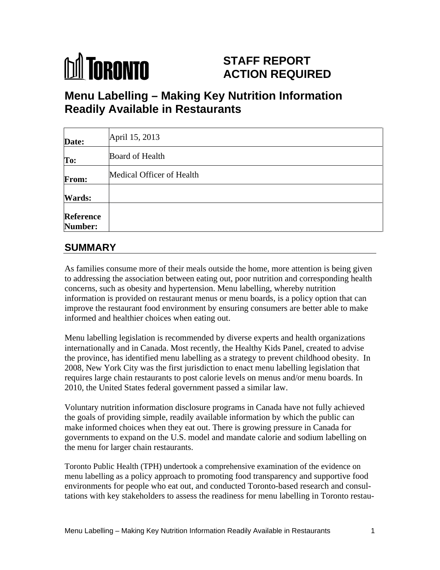# **DA TORONTO**

## **STAFF REPORT ACTION REQUIRED**

# **Menu Labelling – Making Key Nutrition Information Readily Available in Restaurants**

| Date:                | April 15, 2013            |  |  |  |  |
|----------------------|---------------------------|--|--|--|--|
| To:                  | <b>Board of Health</b>    |  |  |  |  |
| From:                | Medical Officer of Health |  |  |  |  |
| <b>Wards:</b>        |                           |  |  |  |  |
| Reference<br>Number: |                           |  |  |  |  |

## **SUMMARY**

As families consume more of their meals outside the home, more attention is being given to addressing the association between eating out, poor nutrition and corresponding health concerns, such as obesity and hypertension. Menu labelling, whereby nutrition information is provided on restaurant menus or menu boards, is a policy option that can improve the restaurant food environment by ensuring consumers are better able to make informed and healthier choices when eating out.

Menu labelling legislation is recommended by diverse experts and health organizations internationally and in Canada. Most recently, the Healthy Kids Panel, created to advise the province, has identified menu labelling as a strategy to prevent childhood obesity. In 2008, New York City was the first jurisdiction to enact menu labelling legislation that requires large chain restaurants to post calorie levels on menus and/or menu boards. In 2010, the United States federal government passed a similar law.

Voluntary nutrition information disclosure programs in Canada have not fully achieved the goals of providing simple, readily available information by which the public can make informed choices when they eat out. There is growing pressure in Canada for governments to expand on the U.S. model and mandate calorie and sodium labelling on the menu for larger chain restaurants.

Toronto Public Health (TPH) undertook a comprehensive examination of the evidence on menu labelling as a policy approach to promoting food transparency and supportive food environments for people who eat out, and conducted Toronto-based research and consultations with key stakeholders to assess the readiness for menu labelling in Toronto restau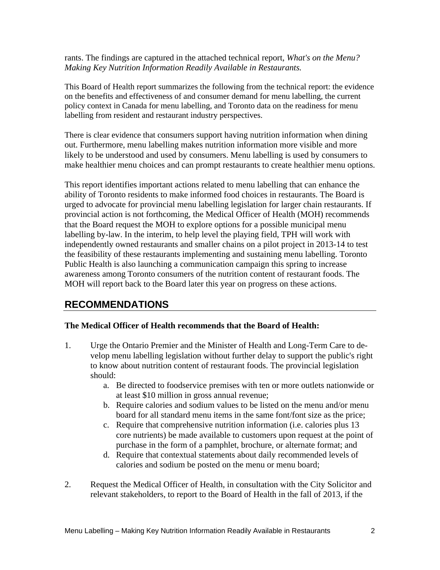rants. The findings are captured in the attached technical report, *What's on the Menu? Making Key Nutrition Information Readily Available in Restaurants.*

This Board of Health report summarizes the following from the technical report: the evidence on the benefits and effectiveness of and consumer demand for menu labelling, the current policy context in Canada for menu labelling, and Toronto data on the readiness for menu labelling from resident and restaurant industry perspectives.

There is clear evidence that consumers support having nutrition information when dining out. Furthermore, menu labelling makes nutrition information more visible and more likely to be understood and used by consumers. Menu labelling is used by consumers to make healthier menu choices and can prompt restaurants to create healthier menu options.

This report identifies important actions related to menu labelling that can enhance the ability of Toronto residents to make informed food choices in restaurants. The Board is urged to advocate for provincial menu labelling legislation for larger chain restaurants. If provincial action is not forthcoming, the Medical Officer of Health (MOH) recommends that the Board request the MOH to explore options for a possible municipal menu labelling by-law. In the interim, to help level the playing field, TPH will work with independently owned restaurants and smaller chains on a pilot project in 2013-14 to test the feasibility of these restaurants implementing and sustaining menu labelling. Toronto Public Health is also launching a communication campaign this spring to increase awareness among Toronto consumers of the nutrition content of restaurant foods. The MOH will report back to the Board later this year on progress on these actions.

## **RECOMMENDATIONS**

#### **The Medical Officer of Health recommends that the Board of Health:**

- 1. Urge the Ontario Premier and the Minister of Health and Long-Term Care to develop menu labelling legislation without further delay to support the public's right to know about nutrition content of restaurant foods. The provincial legislation should: The should:  $\mathcal{L}$  is a set of  $\mathcal{L}$  is a set of  $\mathcal{L}$  is a set of  $\mathcal{L}$  is a set of  $\mathcal{L}$  is a set of  $\mathcal{L}$  is a set of  $\mathcal{L}$  is a set of  $\mathcal{L}$  is a set of  $\mathcal{L}$  is a set of  $\mathcal{L}$  is a
	- a. Be directed to foodservice premises with ten or more outlets nationwide or at least \$10 million in gross annual revenue;
	- b. Require calories and sodium values to be listed on the menu and/or menu board for all standard menu items in the same font/font size as the price;
	- c. Require that comprehensive nutrition information (i.e. calories plus 13 core nutrients) be made available to customers upon request at the point of purchase in the form of a pamphlet, brochure, or alternate format; and
	- d. Require that contextual statements about daily recommended levels of calories and sodium be posted on the menu or menu board;
- 2. Request the Medical Officer of Health, in consultation with the City Solicitor and relevant stakeholders, to report to the Board of Health in the fall of 2013, if the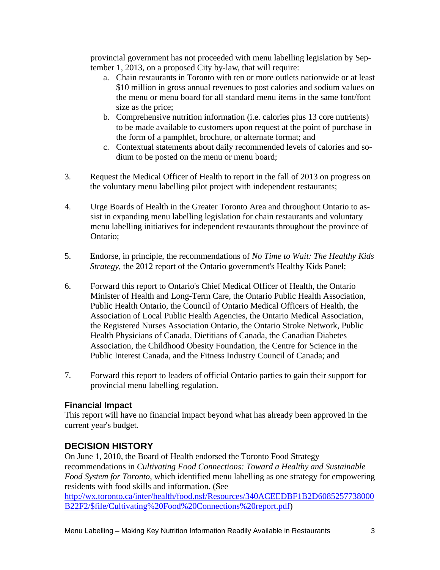provincial government has not proceeded with menu labelling legislation by September 1, 2013, on a proposed City by-law, that will require:

- a. Chain restaurants in Toronto with ten or more outlets nationwide or at least \$10 million in gross annual revenues to post calories and sodium values on the menu or menu board for all standard menu items in the same font/font size as the price;
- b. Comprehensive nutrition information (i.e. calories plus 13 core nutrients) to be made available to customers upon request at the point of purchase in the form of a pamphlet, brochure, or alternate format; and
- c. Contextual statements about daily recommended levels of calories and sodium to be posted on the menu or menu board;
- 3. Request the Medical Officer of Health to report in the fall of 2013 on progress on the voluntary menu labelling pilot project with independent restaurants;
- 4. Urge Boards of Health in the Greater Toronto Area and throughout Ontario to assist in expanding menu labelling legislation for chain restaurants and voluntary menu labelling initiatives for independent restaurants throughout the province of Ontario;
- 5. Endorse, in principle, the recommendations of *No Time to Wait: The Healthy Kids Strategy, the 2012 report of the Ontario government's Healthy Kids Panel;*
- 6. Forward this report to Ontario's Chief Medical Officer of Health, the Ontario Minister of Health and Long-Term Care, the Ontario Public Health Association, Public Health Ontario, the Council of Ontario Medical Officers of Health, the Association of Local Public Health Agencies, the Ontario Medical Association, the Registered Nurses Association Ontario, the Ontario Stroke Network, Public Health Physicians of Canada, Dietitians of Canada, the Canadian Diabetes Association, the Childhood Obesity Foundation, the Centre for Science in the Public Interest Canada, and the Fitness Industry Council of Canada; and
- 7. Forward this report to leaders of official Ontario parties to gain their support for provincial menu labelling regulation.

#### **Financial Impact**

This report will have no financial impact beyond what has already been approved in the current year's budget.

#### **DECISION HISTORY**

On June 1, 2010, the Board of Health endorsed the Toronto Food Strategy recommendations in *Cultivating Food Connections: Toward a Healthy and Sustainable Food System for Toronto*, which identified menu labelling as one strategy for empowering residents with food skills and information. (See

[http://wx.toronto.ca/inter/health/food.nsf/Resources/340ACEEDBF1B2D6085257738000](http://wx.toronto.ca/inter/health/food.nsf/Resources/340ACEEDBF1B2D6085257738000B22F2/$file/Cultivating%20Food%20Connections%20report.pdf) B22F2/\$file/Cultivating%20Food%20Connections%20report.pdf)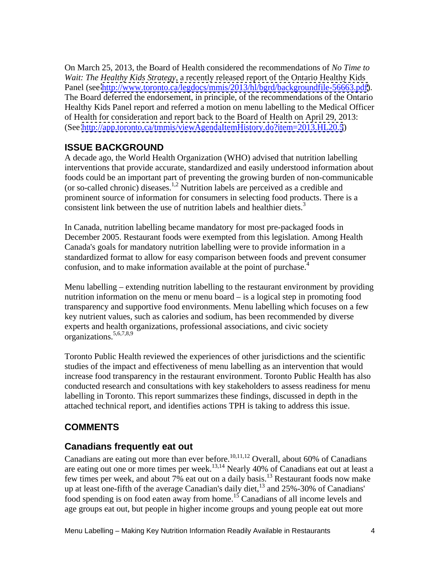On March 25, 2013, the Board of Health considered the recommendations of *No Time to Wait: The Healthy Kids Strategy,* a recently released report of the Ontario Healthy Kids Panel (see [http://www.toronto.ca/legdocs/mmis/2013/hl/bgrd/backgroundfile-56663.pdf\)](http://www.toronto.ca/legdocs/mmis/2013/hl/bgrd/backgroundfile-56663.pdf). The Board deferred the endorsement, in principle, of the recommendations of the Ontario Healthy Kids Panel report and referred a motion on menu labelling to the Medical Officer of Health for consideration and report back to the Board of Health on April 29, 2013: (See<http://app.toronto.ca/tmmis/viewAgendaItemHistory.do?item=2013.HL20.5>)

## **ISSUE BACKGROUND**

A decade ago, the World Health Organization (WHO) advised that nutrition labelling interventions that provide accurate, standardized and easily understood information about foods could be an important part of preventing the growing burden of non-communicable (or so-called chronic) diseases.1,2 Nutrition labels are perceived as a credible and prominent source of information for consumers in selecting food products. There is a consistent link between the use of nutrition labels and healthier diets.<sup>3</sup>

In Canada, nutrition labelling became mandatory for most pre-packaged foods in December 2005. Restaurant foods were exempted from this legislation. Among Health Canada's goals for mandatory nutrition labelling were to provide information in a standardized format to allow for easy comparison between foods and prevent consumer confusion, and to make information available at the point of purchase.<sup>4</sup>

Menu labelling – extending nutrition labelling to the restaurant environment by providing nutrition information on the menu or menu board – is a logical step in promoting food transparency and supportive food environments. Menu labelling which focuses on a few key nutrient values, such as calories and sodium, has been recommended by diverse experts and health organizations, professional associations, and civic society organizations.<sup>5,6,7,8,9</sup> organizations.<sup>5,6,7,8,9</sup>

Toronto Public Health reviewed the experiences of other jurisdictions and the scientific studies of the impact and effectiveness of menu labelling as an intervention that would increase food transparency in the restaurant environment. Toronto Public Health has also conducted research and consultations with key stakeholders to assess readiness for menu labelling in Toronto. This report summarizes these findings, discussed in depth in the attached technical report, and identifies actions TPH is taking to address this issue.

## **COMMENTS**

## **Canadians frequently eat out**

Canadians are eating out more than ever before.<sup>10,11,12</sup> Overall, about 60% of Canadians are eating out one or more times per week.<sup>13,14</sup> Nearly 40% of Canadians eat out at least a few times per week, and about 7% eat out on a daily basis.<sup>13</sup> Restaurant foods now make up at least one-fifth of the average Canadian's daily diet,  $^{13}$  and 25%-30% of Canadians' food spending is on food eaten away from home.<sup>15</sup> Canadians of all income levels and age groups eat out, but people in higher income groups and young people eat out more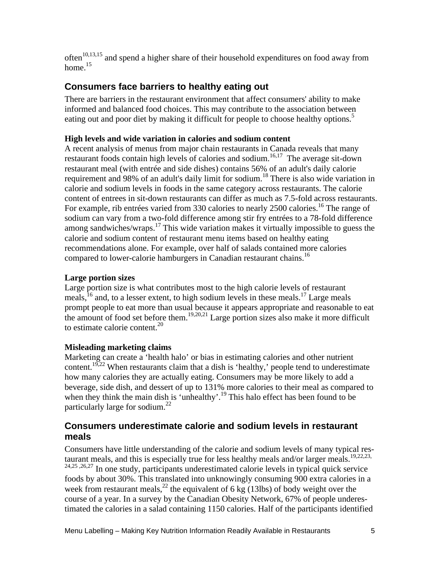often<sup>10,13,15</sup> and spend a higher share of their household expenditures on food away from home.<sup>15</sup> home.<sup>15</sup>

## **Consumers face barriers to healthy eating out**

There are barriers in the restaurant environment that affect consumers' ability to make informed and balanced food choices. This may contribute to the association between eating out and poor diet by making it difficult for people to choose healthy options.<sup>5</sup>

#### **High levels and wide variation in calories and sodium content**

A recent analysis of menus from major chain restaurants in Canada reveals that many restaurant foods contain high levels of calories and sodium.<sup>16,17</sup> The average sit-down restaurant meal (with entrée and side dishes) contains 56% of an adult's daily calorie requirement and 98% of an adult's daily limit for sodium.<sup>18</sup> There is also wide variation in calorie and sodium levels in foods in the same category across restaurants. The calorie content of entrees in sit-down restaurants can differ as much as 7.5-fold across restaurants. For example, rib entrées varied from 330 calories to nearly 2500 calories.<sup>16</sup> The range of sodium can vary from a two-fold difference among stir fry entrées to a 78-fold difference among sandwiches/wraps. $^{17}$  This wide variation makes it virtually impossible to guess the calorie and sodium content of restaurant menu items based on healthy eating recommendations alone. For example, over half of salads contained more calories compared to lower-calorie hamburgers in Canadian restaurant chains.<sup>16</sup>

#### **Large portion sizes**

Large portion size is what contributes most to the high calorie levels of restaurant meals,<sup>16</sup> and, to a lesser extent, to high sodium levels in these meals.<sup>17</sup> Large meals prompt people to eat more than usual because it appears appropriate and reasonable to eat the amount of food set before them.<sup>19,20,21</sup> Large portion sizes also make it more difficult to estimate calorie content.<sup>20</sup> to estimate calorie content.<sup>20</sup>

#### **Misleading marketing claims**

Marketing can create a 'health halo' or bias in estimating calories and other nutrient content.<sup>19,22</sup> When restaurants claim that a dish is 'healthy,' people tend to underestimate how many calories they are actually eating. Consumers may be more likely to add a beverage, side dish, and dessert of up to 131% more calories to their meal as compared to when they think the main dish is 'unhealthy'.<sup>19</sup> This halo effect has been found to be particularly large for sodium.<sup>22</sup>

#### **Consumers underestimate calorie and sodium levels in restaurant meals**

Consumers have little understanding of the calorie and sodium levels of many typical res-<br>taurant meals, and this is especially true for less healthy meals and/or larger meals.  $^{19,22,23}$ ,  $t_{24,25,26,27}$  In one study, participants underestimated calorie levels in typical quick service foods by about 30%. This translated into unknowingly consuming 900 extra calories in a week from restaurant meals,<sup>22</sup> the equivalent of 6 kg (13lbs) of body weight over the course of a year. In a survey by the Canadian Obesity Network, 67% of people underestimated the calories in a salad containing 1150 calories. Half of the participants identified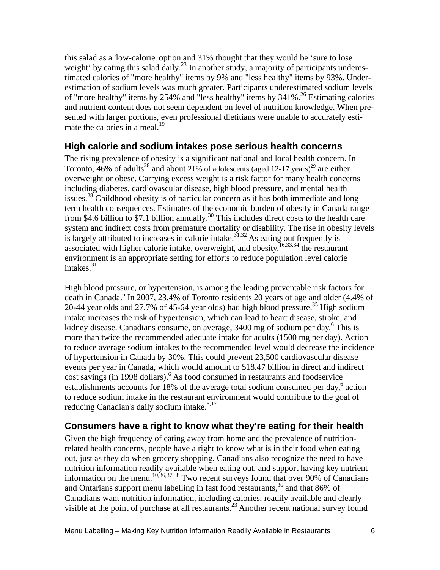this salad as a 'low-calorie' option and 31% thought that they would be 'sure to lose weight' by eating this salad daily.<sup>23</sup> In another study, a majority of participants underestimated calories of "more healthy" items by 9% and "less healthy" items by 93%. Underestimation of sodium levels was much greater. Participants underestimated sodium levels of "more healthy" items by 254% and "less healthy" items by  $341\%$ .<sup>26</sup> Estimating calories and nutrient content does not seem dependent on level of nutrition knowledge. When presented with larger portions, even professional dietitians were unable to accurately estimate the calories in a meal.<sup>19</sup>

#### **High calorie and sodium intakes pose serious health concerns**

The rising prevalence of obesity is a significant national and local health concern. In Toronto, 46% of adults<sup>28</sup> and about 21% of adolescents (aged 12-17 years)<sup>29</sup> are either overweight or obese. Carrying excess weight is a risk factor for many health concerns including diabetes, cardiovascular disease, high blood pressure, and mental health issues.<sup>28</sup> Childhood obesity is of particular concern as it has both immediate and long term health consequences. Estimates of the economic burden of obesity in Canada range from \$4.6 billion to \$7.1 billion annually.<sup>30</sup> This includes direct costs to the health care system and indirect costs from premature mortality or disability. The rise in obesity levels is largely attributed to increases in calorie intake.<sup>31,32</sup> As eating out frequently is associated with higher calorie intake, overweight, and obesity,  $^{16,33,34}$  the restaurant environment is an appropriate setting for efforts to reduce population level calorie intakes.<sup>31</sup> intakes.<sup>31</sup> and the contract of the contract of the contract of the contract of the contract of the contract of the contract of the contract of the contract of the contract of the contract of the contract of the contract

High blood pressure, or hypertension, is among the leading preventable risk factors for death in Canada.<sup>6</sup> In 2007, 23.4% of Toronto residents 20 years of age and older (4.4% of 20-44 year olds and 27.7% of 45-64 year olds) had high blood pressure.<sup>35</sup> High sodium intake increases the risk of hypertension, which can lead to heart disease, stroke, and kidney disease. Canadians consume, on average,  $3400$  mg of sodium per day.<sup>6</sup> This is more than twice the recommended adequate intake for adults (1500 mg per day). Action to reduce average sodium intakes to the recommended level would decrease the incidence of hypertension in Canada by 30%. This could prevent 23,500 cardiovascular disease events per year in Canada, which would amount to \$18.47 billion in direct and indirect cost savings (in 1998 dollars).<sup>6</sup> As food consumed in restaurants and foodservice establishments accounts for 18% of the average total sodium consumed per day,<sup>6</sup> action action to reduce sodium intake in the restaurant environment would contribute to the goal of reducing Canadian's daily sodium intake.<sup>6,17</sup>

#### **Consumers have a right to know what they're eating for their health**

Given the high frequency of eating away from home and the prevalence of nutritionrelated health concerns, people have a right to know what is in their food when eating out, just as they do when grocery shopping. Canadians also recognize the need to have nutrition information readily available when eating out, and support having key nutrient information on the menu.<sup>10,36,37,38</sup> Two recent surveys found that over 90% of Canadians and Ontarians support menu labelling in fast food restaurants,  $36$  and that 86% of Canadians want nutrition information, including calories, readily available and clearly visible at the point of purchase at all restaurants.<sup>23</sup> Another recent national survey found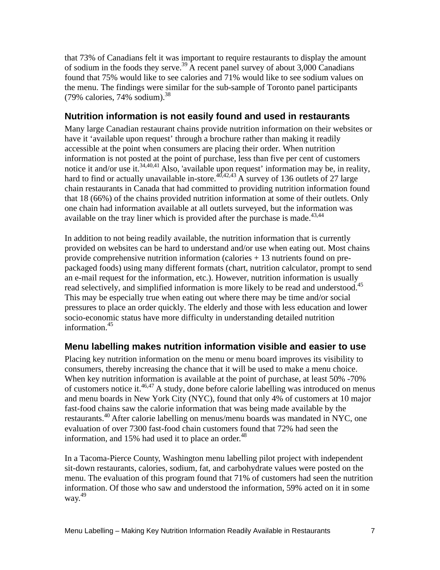that 73% of Canadians felt it was important to require restaurants to display the amount of sodium in the foods they serve.<sup>39</sup> A recent panel survey of about 3,000 Canadians found that 75% would like to see calories and 71% would like to see sodium values on the menu. The findings were similar for the sub-sample of Toronto panel participants  $(79\% \text{ calories}, 74\% \text{ sodium})$ .<sup>38</sup>

#### **Nutrition information is not easily found and used in restaurants**

Many large Canadian restaurant chains provide nutrition information on their websites or have it 'available upon request' through a brochure rather than making it readily accessible at the point when consumers are placing their order. When nutrition information is not posted at the point of purchase, less than five per cent of customers notice it and/or use it.<sup>34,40,41</sup> Also, 'available upon request' information may be, in reality, hard to find or actually unavailable in-store.<sup>40,42,43</sup> A survey of 136 outlets of 27 large chain restaurants in Canada that had committed to providing nutrition information found that 18 (66%) of the chains provided nutrition information at some of their outlets. Only one chain had information available at all outlets surveyed, but the information was available on the tray liner which is provided after the purchase is made. $43,44$ 

In addition to not being readily available, the nutrition information that is currently provided on websites can be hard to understand and/or use when eating out. Most chains provide comprehensive nutrition information (calories + 13 nutrients found on pre packaged foods) using many different formats (chart, nutrition calculator, prompt to send an e-mail request for the information, etc.). However, nutrition information is usually read selectively, and simplified information is more likely to be read and understood.<sup>45</sup> This may be especially true when eating out where there may be time and/or social pressures to place an order quickly. The elderly and those with less education and lower socio-economic status have more difficulty in understanding detailed nutrition information.<sup>45</sup> information.<sup>45</sup>

## **Menu labelling makes nutrition information visible and easier to use**

Placing key nutrition information on the menu or menu board improves its visibility to consumers, thereby increasing the chance that it will be used to make a menu choice. When key nutrition information is available at the point of purchase, at least 50% -70% of customers notice it.<sup>46,47</sup> A study, done before calorie labelling was introduced on menus and menu boards in New York City (NYC), found that only 4% of customers at 10 major fast-food chains saw the calorie information that was being made available by the restaurants.<sup>40</sup> After calorie labelling on menus/menu boards was mandated in NYC, one evaluation of over 7300 fast-food chain customers found that 72% had seen the information, and  $15%$  had used it to place an order.<sup>48</sup>

In a Tacoma-Pierce County, Washington menu labelling pilot project with independent sit-down restaurants, calories, sodium, fat, and carbohydrate values were posted on the menu. The evaluation of this program found that 71% of customers had seen the nutrition information. Of those who saw and understood the information, 59% acted on it in some way.<sup>49</sup>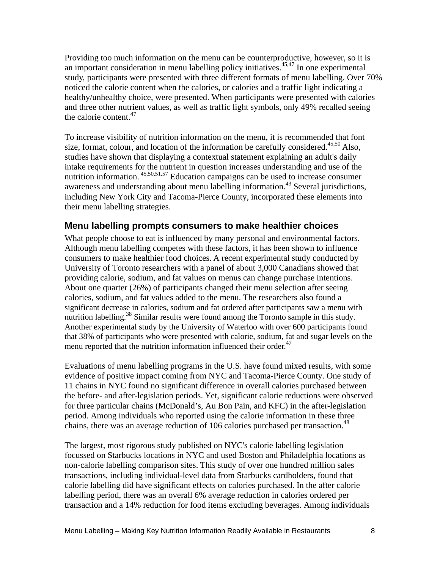Providing too much information on the menu can be counterproductive, however, so it is an important consideration in menu labelling policy initiatives.<sup>45,47</sup> In one experimental study, participants were presented with three different formats of menu labelling. Over 70% noticed the calorie content when the calories, or calories and a traffic light indicating a healthy/unhealthy choice, were presented. When participants were presented with calories and three other nutrient values, as well as traffic light symbols, only 49% recalled seeing the calorie content.<sup>47</sup> the calorie content.<sup>47</sup>

To increase visibility of nutrition information on the menu, it is recommended that font size, format, colour, and location of the information be carefully considered.<sup>45,50</sup> Also, studies have shown that displaying a contextual statement explaining an adult's daily intake requirements for the nutrient in question increases understanding and use of the nutrition information. 45,50,51,57 Education campaigns can be used to increase consumer awareness and understanding about menu labelling information.<sup>43</sup> Several jurisdictions, including New York City and Tacoma-Pierce County, incorporated these elements into their menu labelling strategies.

#### **Menu labelling prompts consumers to make healthier choices**

What people choose to eat is influenced by many personal and environmental factors. Although menu labelling competes with these factors, it has been shown to influence consumers to make healthier food choices. A recent experimental study conducted by University of Toronto researchers with a panel of about 3,000 Canadians showed that providing calorie, sodium, and fat values on menus can change purchase intentions. About one quarter (26%) of participants changed their menu selection after seeing calories, sodium, and fat values added to the menu. The researchers also found a significant decrease in calories, sodium and fat ordered after participants saw a menu with nutrition labelling.<sup>38</sup> Similar results were found among the Toronto sample in this study. Another experimental study by the University of Waterloo with over 600 participants found that 38% of participants who were presented with calorie, sodium, fat and sugar levels on the menu reported that the nutrition information influenced their order.<sup>47</sup>

Evaluations of menu labelling programs in the U.S. have found mixed results, with some evidence of positive impact coming from NYC and Tacoma-Pierce County. One study of 11 chains in NYC found no significant difference in overall calories purchased between the before- and after-legislation periods. Yet, significant calorie reductions were observed for three particular chains (McDonald's, Au Bon Pain, and KFC) in the after-legislation period. Among individuals who reported using the calorie information in these three chains, there was an average reduction of 106 calories purchased per transaction.<sup>48</sup>

 The largest, most rigorous study published on NYC's calorie labelling legislation focussed on Starbucks locations in NYC and used Boston and Philadelphia locations as non-calorie labelling comparison sites. This study of over one hundred million sales transactions, including individual-level data from Starbucks cardholders, found that calorie labelling did have significant effects on calories purchased. In the after calorie labelling period, there was an overall 6% average reduction in calories ordered per transaction and a 14% reduction for food items excluding beverages. Among individuals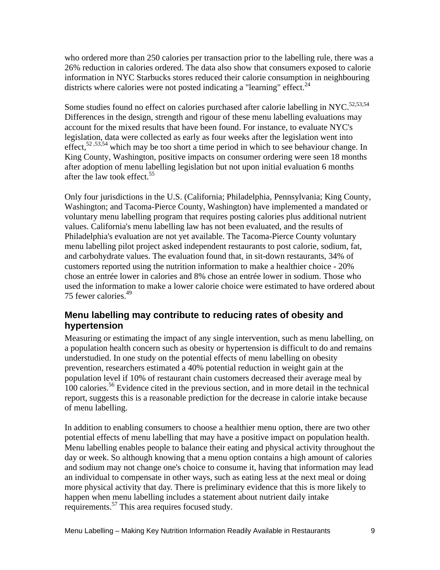who ordered more than 250 calories per transaction prior to the labelling rule, there was a 26% reduction in calories ordered. The data also show that consumers exposed to calorie information in NYC Starbucks stores reduced their calorie consumption in neighbouring districts where calories were not posted indicating a "learning" effect.<sup>24</sup>

Some studies found no effect on calories purchased after calorie labelling in NYC.<sup>52,53,54</sup> Differences in the design, strength and rigour of these menu labelling evaluations may account for the mixed results that have been found. For instance, to evaluate NYC's legislation, data were collected as early as four weeks after the legislation went into effect,<sup>52,53,54</sup> which may be too short a time period in which to see behaviour change. In King County, Washington, positive impacts on consumer ordering were seen 18 months after adoption of menu labelling legislation but not upon initial evaluation 6 months after the law took effect.<sup>55</sup>

Only four jurisdictions in the U.S. (California; Philadelphia, Pennsylvania; King County, Washington; and Tacoma-Pierce County, Washington) have implemented a mandated or voluntary menu labelling program that requires posting calories plus additional nutrient values. California's menu labelling law has not been evaluated, and the results of Philadelphia's evaluation are not yet available. The Tacoma-Pierce County voluntary menu labelling pilot project asked independent restaurants to post calorie, sodium, fat, and carbohydrate values. The evaluation found that, in sit-down restaurants, 34% of customers reported using the nutrition information to make a healthier choice - 20% chose an entrée lower in calories and 8% chose an entrée lower in sodium. Those who used the information to make a lower calorie choice were estimated to have ordered about 75 fewer calories.<sup>49</sup>

#### **Menu labelling may contribute to reducing rates of obesity and hypertension**

Measuring or estimating the impact of any single intervention, such as menu labelling, on a population health concern such as obesity or hypertension is difficult to do and remains understudied. In one study on the potential effects of menu labelling on obesity prevention, researchers estimated a 40% potential reduction in weight gain at the population level if 10% of restaurant chain customers decreased their average meal by 100 calories.56 Evidence cited in the previous section, and in more detail in the technical report, suggests this is a reasonable prediction for the decrease in calorie intake because of menu labelling.

In addition to enabling consumers to choose a healthier menu option, there are two other potential effects of menu labelling that may have a positive impact on population health. Menu labelling enables people to balance their eating and physical activity throughout the day or week. So although knowing that a menu option contains a high amount of calories and sodium may not change one's choice to consume it, having that information may lead an individual to compensate in other ways, such as eating less at the next meal or doing more physical activity that day. There is preliminary evidence that this is more likely to happen when menu labelling includes a statement about nutrient daily intake requirements.<sup>57</sup> This area requires focused study.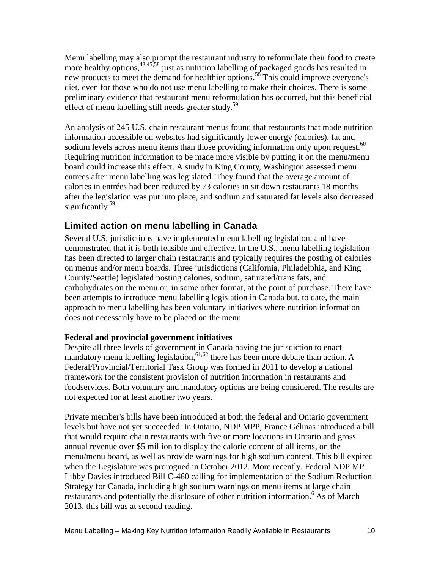Menu labelling may also prompt the restaurant industry to reformulate their food to create more healthy options,  $43,45,58$  just as nutrition labelling of packaged goods has resulted in new products to meet the demand for healthier options.<sup>58</sup> This could improve everyone's diet, even for those who do not use menu labelling to make their choices. There is some preliminary evidence that restaurant menu reformulation has occurred, but this beneficial effect of menu labelling still needs greater study.<sup>59</sup>

An analysis of 245 U.S. chain restaurant menus found that restaurants that made nutrition information accessible on websites had significantly lower energy (calories), fat and sodium levels across menu items than those providing information only upon request.<sup>60</sup> Requiring nutrition information to be made more visible by putting it on the menu/menu board could increase this effect. A study in King County, Washington assessed menu entrees after menu labelling was legislated. They found that the average amount of calories in entrées had been reduced by 73 calories in sit down restaurants 18 months after the legislation was put into place, and sodium and saturated fat levels also decreased significantly.<sup>59</sup> significantly.<sup>59</sup>  $\frac{1}{2}$   $\frac{1}{2}$   $\frac{1}{2}$   $\frac{1}{2}$   $\frac{1}{2}$   $\frac{1}{2}$   $\frac{1}{2}$   $\frac{1}{2}$   $\frac{1}{2}$   $\frac{1}{2}$   $\frac{1}{2}$   $\frac{1}{2}$   $\frac{1}{2}$   $\frac{1}{2}$   $\frac{1}{2}$   $\frac{1}{2}$   $\frac{1}{2}$   $\frac{1}{2}$   $\frac{1}{2}$   $\frac{1}{2}$   $\$ 

#### **Limited action on menu labelling in Canada**

Several U.S. jurisdictions have implemented menu labelling legislation, and have demonstrated that it is both feasible and effective. In the U.S., menu labelling legislation has been directed to larger chain restaurants and typically requires the posting of calories on menus and/or menu boards. Three jurisdictions (California, Philadelphia, and King County/Seattle) legislated posting calories, sodium, saturated/trans fats, and carbohydrates on the menu or, in some other format, at the point of purchase. There have been attempts to introduce menu labelling legislation in Canada but, to date, the main approach to menu labelling has been voluntary initiatives where nutrition information does not necessarily have to be placed on the menu.

#### **Federal and provincial government initiatives**

Despite all three levels of government in Canada having the jurisdiction to enact mandatory menu labelling legislation,  $61,62$  there has been more debate than action. A Federal/Provincial/Territorial Task Group was formed in 2011 to develop a national framework for the consistent provision of nutrition information in restaurants and foodservices. Both voluntary and mandatory options are being considered. The results are not expected for at least another two years.

Private member's bills have been introduced at both the federal and Ontario government levels but have not yet succeeded. In Ontario, NDP MPP, France Gélinas introduced a bill that would require chain restaurants with five or more locations in Ontario and gross annual revenue over \$5 million to display the calorie content of all items, on the menu/menu board, as well as provide warnings for high sodium content. This bill expired when the Legislature was prorogued in October 2012. More recently, Federal NDP MP Libby Davies introduced Bill C-460 calling for implementation of the Sodium Reduction Strategy for Canada, including high sodium warnings on menu items at large chain restaurants and potentially the disclosure of other nutrition information.<sup>6</sup> As of March 2013, this bill was at second reading.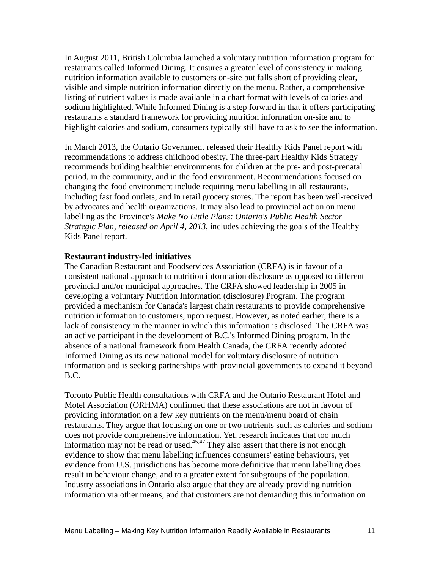In August 2011, British Columbia launched a voluntary nutrition information program for restaurants called Informed Dining. It ensures a greater level of consistency in making nutrition information available to customers on-site but falls short of providing clear, visible and simple nutrition information directly on the menu. Rather, a comprehensive listing of nutrient values is made available in a chart format with levels of calories and sodium highlighted. While Informed Dining is a step forward in that it offers participating restaurants a standard framework for providing nutrition information on-site and to highlight calories and sodium, consumers typically still have to ask to see the information.

In March 2013, the Ontario Government released their Healthy Kids Panel report with recommendations to address childhood obesity. The three-part Healthy Kids Strategy recommends building healthier environments for children at the pre- and post-prenatal period, in the community, and in the food environment. Recommendations focused on changing the food environment include requiring menu labelling in all restaurants, including fast food outlets, and in retail grocery stores. The report has been well-received by advocates and health organizations. It may also lead to provincial action on menu labelling as the Province's *Make No Little Plans: Ontario's Public Health Sector Strategic Plan, released on April 4, 2013,* includes achieving the goals of the Healthy Kids Panel report.

#### **Restaurant industry-led initiatives**

The Canadian Restaurant and Foodservices Association (CRFA) is in favour of a consistent national approach to nutrition information disclosure as opposed to different provincial and/or municipal approaches. The CRFA showed leadership in 2005 in developing a voluntary Nutrition Information (disclosure) Program. The program provided a mechanism for Canada's largest chain restaurants to provide comprehensive nutrition information to customers, upon request. However, as noted earlier, there is a lack of consistency in the manner in which this information is disclosed. The CRFA was an active participant in the development of B.C.'s Informed Dining program. In the absence of a national framework from Health Canada, the CRFA recently adopted Informed Dining as its new national model for voluntary disclosure of nutrition information and is seeking partnerships with provincial governments to expand it beyond B.C.

Toronto Public Health consultations with CRFA and the Ontario Restaurant Hotel and Motel Association (ORHMA) confirmed that these associations are not in favour of providing information on a few key nutrients on the menu/menu board of chain restaurants. They argue that focusing on one or two nutrients such as calories and sodium does not provide comprehensive information. Yet, research indicates that too much information may not be read or used. $45,47$  They also assert that there is not enough evidence to show that menu labelling influences consumers' eating behaviours, yet evidence from U.S. jurisdictions has become more definitive that menu labelling does result in behaviour change, and to a greater extent for subgroups of the population. Industry associations in Ontario also argue that they are already providing nutrition information via other means, and that customers are not demanding this information on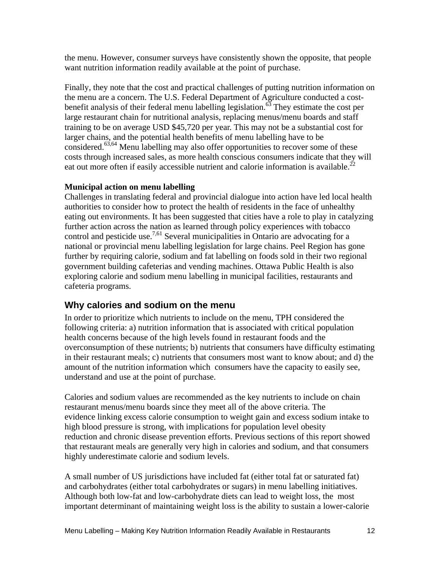the menu. However, consumer surveys have consistently shown the opposite, that people want nutrition information readily available at the point of purchase.

Finally, they note that the cost and practical challenges of putting nutrition information on the menu are a concern. The U.S. Federal Department of Agriculture conducted a cost-<br>benefit analysis of their federal menu labelling legislation.<sup>63</sup> They estimate the cost per large restaurant chain for nutritional analysis, replacing menus/menu boards and staff training to be on average USD \$45,720 per year. This may not be a substantial cost for larger chains, and the potential health benefits of menu labelling have to be considered.<sup>63,64</sup> Menu labelling may also offer opportunities to recover some of these costs through increased sales, as more health conscious consumers indicate that they will eat out more often if easily accessible nutrient and calorie information is available.<sup>22</sup>

#### **Municipal action on menu labelling**

Challenges in translating federal and provincial dialogue into action have led local health authorities to consider how to protect the health of residents in the face of unhealthy eating out environments. It has been suggested that cities have a role to play in catalyzing further action across the nation as learned through policy experiences with tobacco control and pesticide use.<sup>7,61</sup> Several municipalities in Ontario are advocating for a national or provincial menu labelling legislation for large chains. Peel Region has gone further by requiring calorie, sodium and fat labelling on foods sold in their two regional government building cafeterias and vending machines. Ottawa Public Health is also exploring calorie and sodium menu labelling in municipal facilities, restaurants and cafeteria programs.

#### **Why calories and sodium on the menu**

In order to prioritize which nutrients to include on the menu, TPH considered the following criteria: a) nutrition information that is associated with critical population health concerns because of the high levels found in restaurant foods and the overconsumption of these nutrients; b) nutrients that consumers have difficulty estimating in their restaurant meals; c) nutrients that consumers most want to know about; and d) the amount of the nutrition information which consumers have the capacity to easily see, understand and use at the point of purchase.

Calories and sodium values are recommended as the key nutrients to include on chain restaurant menus/menu boards since they meet all of the above criteria. The evidence linking excess calorie consumption to weight gain and excess sodium intake to high blood pressure is strong, with implications for population level obesity reduction and chronic disease prevention efforts. Previous sections of this report showed that restaurant meals are generally very high in calories and sodium, and that consumers highly underestimate calorie and sodium levels.

A small number of US jurisdictions have included fat (either total fat or saturated fat) and carbohydrates (either total carbohydrates or sugars) in menu labelling initiatives. Although both low-fat and low-carbohydrate diets can lead to weight loss, the most important determinant of maintaining weight loss is the ability to sustain a lower-calorie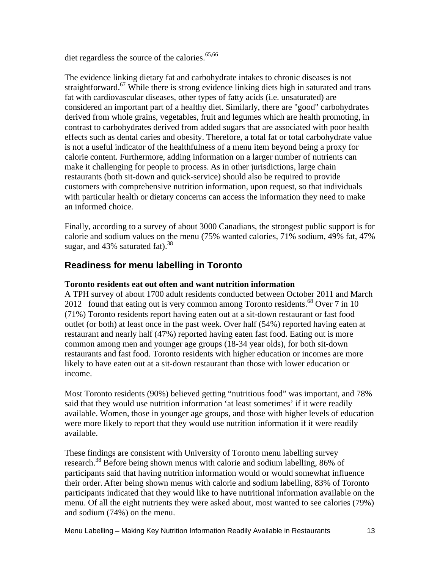diet regardless the source of the calories. $65,66$ 

The evidence linking dietary fat and carbohydrate intakes to chronic diseases is not straightforward.<sup>67</sup> While there is strong evidence linking diets high in saturated and trans fat with cardiovascular diseases, other types of fatty acids (i.e. unsaturated) are considered an important part of a healthy diet. Similarly, there are "good" carbohydrates derived from whole grains, vegetables, fruit and legumes which are health promoting, in contrast to carbohydrates derived from added sugars that are associated with poor health effects such as dental caries and obesity. Therefore, a total fat or total carbohydrate value is not a useful indicator of the healthfulness of a menu item beyond being a proxy for calorie content. Furthermore, adding information on a larger number of nutrients can make it challenging for people to process. As in other jurisdictions, large chain restaurants (both sit-down and quick-service) should also be required to provide customers with comprehensive nutrition information, upon request, so that individuals with particular health or dietary concerns can access the information they need to make an informed choice.

Finally, according to a survey of about 3000 Canadians, the strongest public support is for calorie and sodium values on the menu (75% wanted calories, 71% sodium, 49% fat, 47% sugar, and 43% saturated fat).  $38$ 

#### **Readiness for menu labelling in Toronto**

#### **Toronto residents eat out often and want nutrition information**

A TPH survey of about 1700 adult residents conducted between October 2011 and March 2012 found that eating out is very common among Toronto residents.<sup>68</sup> Over 7 in 10 (71%) Toronto residents report having eaten out at a sit-down restaurant or fast food outlet (or both) at least once in the past week. Over half (54%) reported having eaten at restaurant and nearly half (47%) reported having eaten fast food. Eating out is more common among men and younger age groups (18-34 year olds), for both sit-down restaurants and fast food. Toronto residents with higher education or incomes are more likely to have eaten out at a sit-down restaurant than those with lower education or income.

Most Toronto residents (90%) believed getting "nutritious food" was important, and 78% said that they would use nutrition information 'at least sometimes' if it were readily available. Women, those in younger age groups, and those with higher levels of education were more likely to report that they would use nutrition information if it were readily available.

These findings are consistent with University of Toronto menu labelling survey research.<sup>38</sup> Before being shown menus with calorie and sodium labelling, 86% of participants said that having nutrition information would or would somewhat influence their order. After being shown menus with calorie and sodium labelling, 83% of Toronto participants indicated that they would like to have nutritional information available on the menu. Of all the eight nutrients they were asked about, most wanted to see calories (79%) and sodium (74%) on the menu.

Menu Labelling – Making Key Nutrition Information Readily Available in Restaurants 13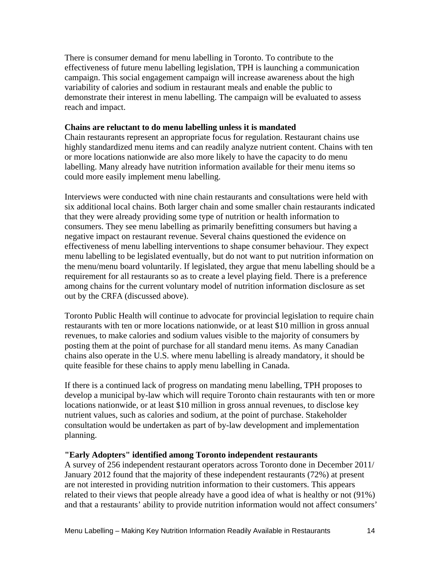There is consumer demand for menu labelling in Toronto. To contribute to the effectiveness of future menu labelling legislation, TPH is launching a communication campaign. This social engagement campaign will increase awareness about the high variability of calories and sodium in restaurant meals and enable the public to demonstrate their interest in menu labelling. The campaign will be evaluated to assess reach and impact.

#### **Chains are reluctant to do menu labelling unless it is mandated**

Chain restaurants represent an appropriate focus for regulation. Restaurant chains use highly standardized menu items and can readily analyze nutrient content. Chains with ten or more locations nationwide are also more likely to have the capacity to do menu labelling. Many already have nutrition information available for their menu items so could more easily implement menu labelling.

Interviews were conducted with nine chain restaurants and consultations were held with six additional local chains. Both larger chain and some smaller chain restaurants indicated that they were already providing some type of nutrition or health information to consumers. They see menu labelling as primarily benefitting consumers but having a negative impact on restaurant revenue. Several chains questioned the evidence on effectiveness of menu labelling interventions to shape consumer behaviour. They expect menu labelling to be legislated eventually, but do not want to put nutrition information on the menu/menu board voluntarily. If legislated, they argue that menu labelling should be a requirement for all restaurants so as to create a level playing field. There is a preference among chains for the current voluntary model of nutrition information disclosure as set out by the CRFA (discussed above).

Toronto Public Health will continue to advocate for provincial legislation to require chain restaurants with ten or more locations nationwide, or at least \$10 million in gross annual revenues, to make calories and sodium values visible to the majority of consumers by posting them at the point of purchase for all standard menu items. As many Canadian chains also operate in the U.S. where menu labelling is already mandatory, it should be quite feasible for these chains to apply menu labelling in Canada.

If there is a continued lack of progress on mandating menu labelling, TPH proposes to develop a municipal by-law which will require Toronto chain restaurants with ten or more locations nationwide, or at least \$10 million in gross annual revenues, to disclose key nutrient values, such as calories and sodium, at the point of purchase. Stakeholder consultation would be undertaken as part of by-law development and implementation planning.

#### **"Early Adopters" identified among Toronto independent restaurants**

A survey of 256 independent restaurant operators across Toronto done in December 2011/ January 2012 found that the majority of these independent restaurants (72%) at present are not interested in providing nutrition information to their customers. This appears related to their views that people already have a good idea of what is healthy or not (91%) and that a restaurants' ability to provide nutrition information would not affect consumers'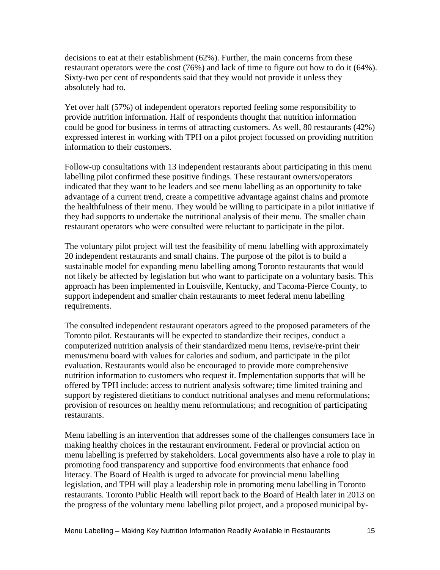decisions to eat at their establishment (62%). Further, the main concerns from these restaurant operators were the cost (76%) and lack of time to figure out how to do it (64%). Sixty-two per cent of respondents said that they would not provide it unless they absolutely had to.

Yet over half (57%) of independent operators reported feeling some responsibility to provide nutrition information. Half of respondents thought that nutrition information could be good for business in terms of attracting customers. As well, 80 restaurants (42%) expressed interest in working with TPH on a pilot project focussed on providing nutrition information to their customers.

Follow-up consultations with 13 independent restaurants about participating in this menu labelling pilot confirmed these positive findings. These restaurant owners/operators indicated that they want to be leaders and see menu labelling as an opportunity to take advantage of a current trend, create a competitive advantage against chains and promote the healthfulness of their menu. They would be willing to participate in a pilot initiative if they had supports to undertake the nutritional analysis of their menu. The smaller chain restaurant operators who were consulted were reluctant to participate in the pilot.

The voluntary pilot project will test the feasibility of menu labelling with approximately 20 independent restaurants and small chains. The purpose of the pilot is to build a sustainable model for expanding menu labelling among Toronto restaurants that would not likely be affected by legislation but who want to participate on a voluntary basis. This approach has been implemented in Louisville, Kentucky, and Tacoma-Pierce County, to support independent and smaller chain restaurants to meet federal menu labelling requirements.

The consulted independent restaurant operators agreed to the proposed parameters of the Toronto pilot. Restaurants will be expected to standardize their recipes, conduct a computerized nutrition analysis of their standardized menu items, revise/re-print their menus/menu board with values for calories and sodium, and participate in the pilot evaluation. Restaurants would also be encouraged to provide more comprehensive nutrition information to customers who request it. Implementation supports that will be offered by TPH include: access to nutrient analysis software; time limited training and support by registered dietitians to conduct nutritional analyses and menu reformulations; provision of resources on healthy menu reformulations; and recognition of participating restaurants.

Menu labelling is an intervention that addresses some of the challenges consumers face in making healthy choices in the restaurant environment. Federal or provincial action on menu labelling is preferred by stakeholders. Local governments also have a role to play in promoting food transparency and supportive food environments that enhance food literacy. The Board of Health is urged to advocate for provincial menu labelling legislation, and TPH will play a leadership role in promoting menu labelling in Toronto restaurants. Toronto Public Health will report back to the Board of Health later in 2013 on the progress of the voluntary menu labelling pilot project, and a proposed municipal by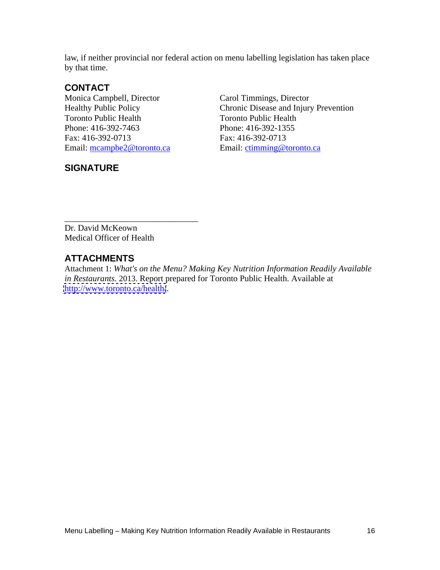law, if neither provincial nor federal action on menu labelling legislation has taken place by that time.

#### **CONTACT**

Monica Campbell, Director Carol Timmings, Director Healthy Public Policy Chronic Disease and Injury Toronto Public Health Toronto Public Health Email: mcampbe2@toronto.ca Email: ctimming@toronto.ca

#### **SIGNATURE**

Chronic Disease and Injury Prevention Phone: 416-392-7463 Phone: 416-392-1355 Fax: 416-392-0713 Fax: 416-392-0713

Dr. David McKeown Medical Officer of Health

## **ATTACHMENTS**

Attachment 1: *What's on the Menu? Making Key Nutrition Information Readily Available in Restaurants.* 2013. Report prepared for Toronto Public Health. Available at <http://www.toronto.ca/health/>.

\_\_\_\_\_\_\_\_\_\_\_\_\_\_\_\_\_\_\_\_\_\_\_\_\_\_\_\_\_\_\_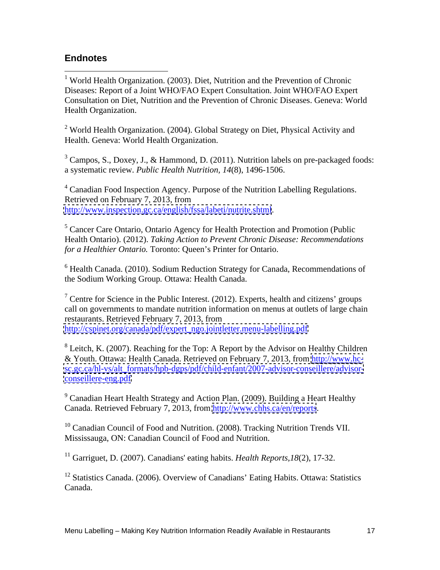## **Endnotes**

<sup>1</sup> World Health Organization. (2003). Diet, Nutrition and the Prevention of Chronic Diseases: Report of a Joint WHO/FAO Expert Consultation. Joint WHO/FAO Expert Consultation on Diet, Nutrition and the Prevention of Chronic Diseases. Geneva: World Health Organization.

<sup>2</sup> World Health Organization. (2004). Global Strategy on Diet, Physical Activity and Health. Geneva: World Health Organization.

<sup>3</sup> Campos, S., Doxey, J., & Hammond, D. (2011). Nutrition labels on pre-packaged foods: a systematic review. *Public Health Nutrition, 14*(8), 1496-1506.

<sup>4</sup> Canadian Food Inspection Agency. Purpose of the Nutrition Labelling Regulations. Retrieved on February 7, 2013, from <http://www.inspection.gc.ca/english/fssa/labeti/nutrite.shtml>.

<sup>5</sup> Cancer Care Ontario, Ontario Agency for Health Protection and Promotion (Public Health Ontario). (2012). *Taking Action to Prevent Chronic Disease: Recommendations for a Healthier Ontario.* Toronto: Queen's Printer for Ontario.

 $6$  Health Canada. (2010). Sodium Reduction Strategy for Canada, Recommendations of the Sodium Working Group*.* Ottawa: Health Canada.

<sup>7</sup> Centre for Science in the Public Interest. (2012). Experts, health and citizens' groups call on governments to mandate nutrition information on menus at outlets of large chain restaurants. Retrieved February 7, 2013, from [http://cspinet.org/canada/pdf/expert\\_ngo.jointletter.menu-labelling.pdf](http://cspinet.org/canada/pdf/expert_ngo.jointletter.menu-labelling.pdf)

<sup>8</sup> Leitch, K. (2007). Reaching for the Top: A Report by the Advisor on Healthy Children & Youth. Ottawa: Health Canada. Retrieved on February 7, 2013, from [http://www.hc](http://www.hc-) [sc.gc.ca/hl-vs/alt\\_formats/hpb-dgps/pdf/child-enfant/2007-advisor-conseillere/advisor](sc.gc.ca/hl-vs/alt_formats/hpb-dgps/pdf/child-enfant/2007-advisor-conseillere/advisor-) <conseillere-eng.pdf>

<sup>9</sup> Canadian Heart Health Strategy and Action Plan. (2009). Building a Heart Healthy Canada. Retrieved February 7, 2013, from<http://www.chhs.ca/en/reports>.<br><sup>10</sup> Canadian Council of Food and Nutrition. (2008). Tracking Nutrition Trends VII.

Mississauga, ON: Canadian Council of Food and Nutrition.

<sup>11</sup> Garriguet, D. (2007). Canadians' eating habits. *Health Reports,18*(2), 17-32.

<sup>12</sup> Statistics Canada. (2006). Overview of Canadians' Eating Habits. Ottawa: Statistics Canada.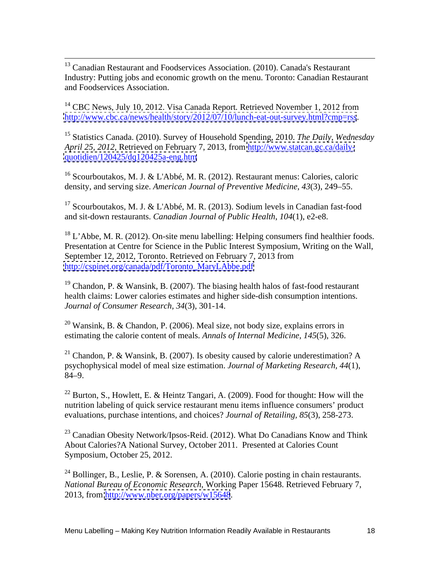<sup>13</sup> Canadian Restaurant and Foodservices Association. (2010). Canada's Restaurant Industry: Putting jobs and economic growth on the menu. Toronto: Canadian Restaurant and Foodservices Association.

<sup>14</sup> CBC News, July 10, 2012. Visa Canada Report. Retrieved November 1, 2012 from <http://www.cbc.ca/news/health/story/2012/07/10/lunch-eat-out-survey.html?cmp=rss>.

<sup>15</sup> Statistics Canada. (2010). Survey of Household Spending, 2010. *The Daily*, *Wednesday April 25, 2012,* Retrieved on February 7, 2013, from [http://www.statcan.gc.ca/daily](http://www.statcan.gc.ca/daily-) <quotidien/120425/dq120425a-eng.htm>

<sup>16</sup> Scourboutakos, M. J. & L'Abbé, M. R. (2012). Restaurant menus: Calories, caloric density, and serving size. *American Journal of Preventive Medicine, 43*(3), 249–55.

<sup>17</sup> Scourboutakos, M. J. & L'Abbé, M. R. (2013). Sodium levels in Canadian fast-food and sit-down restaurants. *Canadian Journal of Public Health*, *104*(1), e2-e8.

 $18$  L'Abbe, M. R. (2012). On-site menu labelling: Helping consumers find healthier foods. Presentation at Centre for Science in the Public Interest Symposium, Writing on the Wall, September 12, 2012, Toronto. Retrieved on February 7, 2013 from [http://cspinet.org/canada/pdf/Toronto\\_MaryLAbbe.pdf](http://cspinet.org/canada/pdf/Toronto_MaryLAbbe.pdf)

<sup>19</sup> Chandon, P. & Wansink, B. (2007). The biasing health halos of fast-food restaurant health claims: Lower calories estimates and higher side-dish consumption intentions. *Journal of Consumer Research, 34*(3), 301-14.

<sup>20</sup> Wansink, B. & Chandon, P. (2006). Meal size, not body size, explains errors in estimating the calorie content of meals. *Annals of Internal Medicine, 145*(5), 326.

<sup>21</sup> Chandon, P. & Wansink, B. (2007). Is obesity caused by calorie underestimation? A psychophysical model of meal size estimation. *Journal of Marketing Research, 44*(1), 84–9.

<sup>22</sup> Burton, S., Howlett, E. & Heintz Tangari, A. (2009). Food for thought: How will the nutrition labeling of quick service restaurant menu items influence consumers' product evaluations, purchase intentions, and choices? *Journal of Retailing, 85*(3), 258-273.

 $23$  Canadian Obesity Network/Ipsos-Reid. (2012). What Do Canadians Know and Think About Calories?A National Survey, October 2011.Presented at Calories Count Symposium, October 25, 2012.

<sup>24</sup> Bollinger, B., Leslie, P. & Sorensen, A. (2010). Calorie posting in chain restaurants. *National Bureau of Economic Research*, Working Paper 15648. Retrieved February 7, 2013, from<http://www.nber.org/papers/w15648>.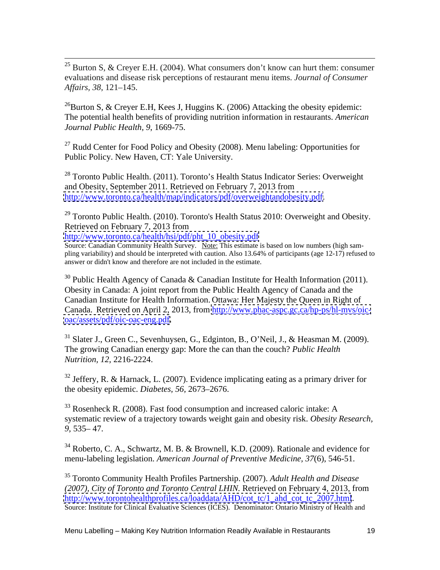<sup>25</sup> Burton S, & Creyer E.H. (2004). What consumers don't know can hurt them: consumer evaluations and disease risk perceptions of restaurant menu items. *Journal of Consumer Affairs, 38*, 121–145.

<sup>26</sup>Burton S, & Creyer E.H, Kees J, Huggins K. (2006) Attacking the obesity epidemic: The potential health benefits of providing nutrition information in restaurants. *American Journal Public Health, 9*, 1669-75.

<sup>27</sup> Rudd Center for Food Policy and Obesity (2008). Menu labeling: Opportunities for Public Policy. New Haven, CT: Yale University.

<sup>28</sup> Toronto Public Health. (2011). Toronto's Health Status Indicator Series: Overweight and Obesity, September 2011*.* Retrieved on February 7, 2013 from [http://www.toronto.ca/health/map/indicators/pdf/overweightandobesity.pdf.](http://www.toronto.ca/health/map/indicators/pdf/overweightandobesity.pdf)

 $29$  Toronto Public Health. (2010). Toronto's Health Status 2010: Overweight and Obesity. Retrieved on February 7, 2013 from

[http://www.toronto.ca/health/hsi/pdf/pht\\_10\\_obesity.pdf](http://www.toronto.ca/health/hsi/pdf/pht_10_obesity.pdf)

Source: Canadian Community Health Survey. Note: This estimate is based on low numbers (high sampling variability) and should be interpreted with caution. Also 13.64% of participants (age 12-17) refused to answer or didn't know and therefore are not included in the estimate.

 $30$  Public Health Agency of Canada & Canadian Institute for Health Information (2011). Obesity in Canada: A joint report from the Public Health Agency of Canada and the Canadian Institute for Health Information. Ottawa: Her Majesty the Queen in Right of Canada. Retrieved on April 2, 2013, from [http://www.phac-aspc.gc.ca/hp-ps/hl-mvs/oic](http://www.phac-aspc.gc.ca/hp-ps/hl-mvs/oic-) <oac/assets/pdf/oic-oac-eng.pdf>.

<sup>31</sup> Slater J., Green C., Sevenhuysen, G., Edginton, B., O'Neil, J., & Heasman M. (2009). The growing Canadian energy gap: More the can than the couch? *Public Health Nutrition, 12*, 2216-2224.

 $32$  Jeffery, R. & Harnack, L. (2007). Evidence implicating eating as a primary driver for the obesity epidemic. *Diabetes, 56,* 2673–2676.

 $33$  Rosenheck R. (2008). Fast food consumption and increased caloric intake: A systematic review of a trajectory towards weight gain and obesity risk. *Obesity Research, 9,* 535– 47.

<sup>34</sup> Roberto, C. A., Schwartz, M. B. & Brownell, K.D. (2009). Rationale and evidence for menu-labeling legislation. *American Journal of Preventive Medicine, 37*(6), 546-51.

<sup>35</sup> Toronto Community Health Profiles Partnership. (2007). *Adult Health and Disease (2007), City of Toronto and Toronto Central LHIN.* Retrieved on February 4, 2013, from [http://www.torontohealthprofiles.ca/loaddata/AHD/cot\\_tc/1\\_ahd\\_cot\\_tc\\_2007.html](http://www.torontohealthprofiles.ca/loaddata/AHD/cot_tc/1_ahd_cot_tc_2007.html).<br>Source: Institute for Clinical Evaluative Sciences (ICES). Denominator: Ontario Ministry of Health and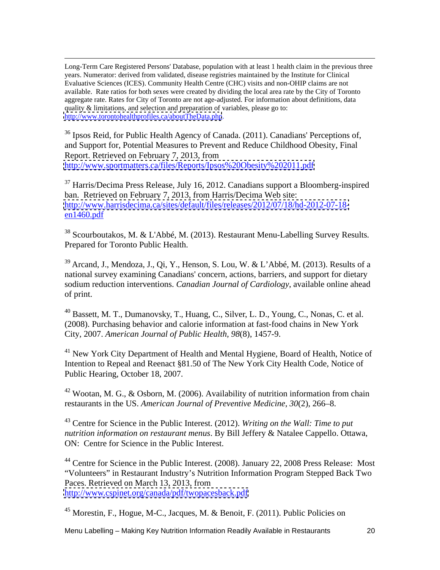Long-Term Care Registered Persons' Database, population with at least 1 health claim in the previous three years. Numerator: derived from validated, disease registries maintained by the Institute for Clinical Evaluative Sciences (ICES). Community Health Centre (CHC) visits and non-OHIP claims are not available. Rate ratios for both sexes were created by dividing the local area rate by the City of Toronto aggregate rate. Rates for City of Toronto are not age-adjusted. For information about definitions, data quality & limitations, and selection and preparation of variables, please go to: <http://www.torontohealthprofiles.ca/aboutTheData.php>.

<sup>36</sup> Ipsos Reid, for Public Health Agency of Canada. (2011). Canadians' Perceptions of, and Support for, Potential Measures to Prevent and Reduce Childhood Obesity, Final Report. Retrieved on February 7, 2013, from <http://www.sportmatters.ca/files/Reports/Ipsos%20Obesity%202011.pdf>

<sup>37</sup> Harris/Decima Press Release, July 16, 2012. Canadians support a Bloomberg-inspired ban.Retrieved on February 7, 2013, from Harris/Decima Web site: [http://www.harrisdecima.ca/sites/default/files/releases/2012/07/18/hd-2012-07-18](http://www.harrisdecima.ca/sites/default/files/releases/2012/07/18/hd-2012-07-18-)  $en1460.pdf$ 

<sup>38</sup> Scourboutakos, M. & L'Abbé, M. (2013). Restaurant Menu-Labelling Survey Results*.* Prepared for Toronto Public Health.

 $39$  Arcand, J., Mendoza, J., Qi, Y., Henson, S. Lou, W. & L'Abbé, M. (2013). Results of a national survey examining Canadians' concern, actions, barriers, and support for dietary sodium reduction interventions. *Canadian Journal of Cardiology*, available online ahead of print.

<sup>40</sup> Bassett, M. T., Dumanovsky, T., Huang, C., Silver, L. D., Young, C., Nonas, C. et al. (2008). Purchasing behavior and calorie information at fast-food chains in New York City, 2007. *American Journal of Public Health, 98*(8), 1457-9.

<sup>41</sup> New York City Department of Health and Mental Hygiene, Board of Health, Notice of Intention to Repeal and Reenact §81.50 of The New York City Health Code, Notice of Public Hearing, October 18, 2007.

 $42$  Wootan, M. G., & Osborn, M. (2006). Availability of nutrition information from chain restaurants in the US. *American Journal of Preventive Medicine*, *30*(2), 266–8.

<sup>43</sup> Centre for Science in the Public Interest. (2012). *Writing on the Wall: Time to put nutrition information on restaurant menus*. By Bill Jeffery & Natalee Cappello. Ottawa, ON: Centre for Science in the Public Interest.

<sup>44</sup> Centre for Science in the Public Interest. (2008). January 22, 2008 Press Release: Most "Volunteers" in Restaurant Industry's Nutrition Information Program Stepped Back Two Paces. Retrieved on March 13, 2013, from <http://www.cspinet.org/canada/pdf/twopacesback.pdf>

 $45$  Morestin, F., Hogue, M-C., Jacques, M. & Benoit, F. (2011). Public Policies on

Menu Labelling – Making Key Nutrition Information Readily Available in Restaurants 20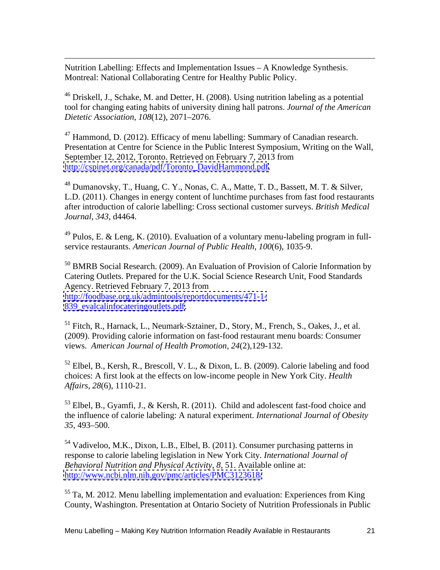Nutrition Labelling: Effects and Implementation Issues – A Knowledge Synthesis. Montreal: National Collaborating Centre for Healthy Public Policy.

<sup>46</sup> Driskell, J., Schake, M. and Detter, H. (2008). Using nutrition labeling as a potential tool for changing eating habits of university dining hall patrons. *Journal of the American Dietetic Association, 108*(12), 2071–2076.

<sup>47</sup> Hammond, D. (2012). Efficacy of menu labelling: Summary of Canadian research. Presentation at Centre for Science in the Public Interest Symposium, Writing on the Wall, September 12, 2012, Toronto. Retrieved on February 7, 2013 from [http://cspinet.org/canada/pdf/Toronto\\_DavidHammond.pdf.](http://cspinet.org/canada/pdf/Toronto_DavidHammond.pdf)<br><sup>48</sup> Dumanovsky, T., Huang, C. Y., Nonas, C. A., Matte, T. D., Bassett, M. T. & Silver,

L.D. (2011). Changes in energy content of lunchtime purchases from fast food restaurants after introduction of calorie labelling: Cross sectional customer surveys. *British Medical Journal*, *343*, d4464.

 $49$  Pulos, E. & Leng, K. (2010). Evaluation of a voluntary menu-labeling program in fullservice restaurants. *American Journal of Public Health, 100*(6), 1035-9.

<sup>50</sup> BMRB Social Research. (2009). An Evaluation of Provision of Calorie Information by Catering Outlets. Prepared for the U.K. Social Science Research Unit, Food Standards Agency. Retrieved February 7, 2013 from <http://foodbase.org.uk/admintools/reportdocuments/471-1-> [839\\_evalcalinfocateringoutlets.pdf.](839_evalcalinfocateringoutlets.pdf)

<sup>51</sup> Fitch, R., Harnack, L., Neumark-Sztainer, D., Story, M., French, S., Oakes, J., et al. (2009). Providing calorie information on fast-food restaurant menu boards: Consumer views. *American Journal of Health Promotion, 24*(2),129-132.

 $52$  Elbel, B., Kersh, R., Brescoll, V. L., & Dixon, L. B. (2009). Calorie labeling and food choices: A first look at the effects on low-income people in New York City. *Health Affairs, 28*(6), 1110-21.

<sup>53</sup> Elbel, B., Gyamfi, J., & Kersh, R. (2011). Child and adolescent fast-food choice and the influence of calorie labeling: A natural experiment. *International Journal of Obesity 35*, 493–500.

<sup>54</sup> Vadiveloo, M.K., Dixon, L.B., Elbel, B. (2011). Consumer purchasing patterns in response to calorie labeling legislation in New York City. *International Journal of Behavioral Nutrition and Physical Activity*, *8*, 51. Available online at: <http://www.ncbi.nlm.nih.gov/pmc/articles/PMC3123618/>

 $<sup>55</sup>$  Ta, M. 2012. Menu labelling implementation and evaluation: Experiences from King</sup> County, Washington. Presentation at Ontario Society of Nutrition Professionals in Public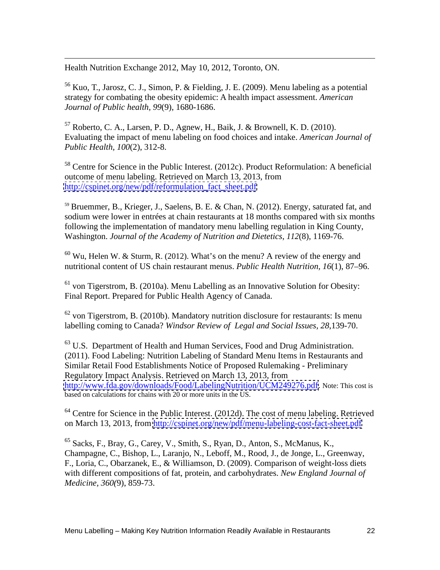Health Nutrition Exchange 2012, May 10, 2012, Toronto, ON.

<sup>56</sup> Kuo, T., Jarosz, C. J., Simon, P. & Fielding, J. E. (2009). Menu labeling as a potential strategy for combating the obesity epidemic: A health impact assessment. *American Journal of Public health, 99*(9), 1680-1686.

 $57$  Roberto, C. A., Larsen, P. D., Agnew, H., Baik, J. & Brownell, K. D. (2010). Evaluating the impact of menu labeling on food choices and intake. *American Journal of Public Health, 100*(2), 312-8.

 $58$  Centre for Science in the Public Interest. (2012c). Product Reformulation: A beneficial outcome of menu labeling. Retrieved on March 13, 2013, from [http://cspinet.org/new/pdf/reformulation\\_fact\\_sheet.pdf](http://cspinet.org/new/pdf/reformulation_fact_sheet.pdf)

<sup>59</sup> Bruemmer, B., Krieger, J., Saelens, B. E. & Chan, N. (2012). Energy, saturated fat, and sodium were lower in entrées at chain restaurants at 18 months compared with six months following the implementation of mandatory menu labelling regulation in King County, Washington. *Journal of the Academy of Nutrition and Dietetics*, *112*(8), 1169-76.

 $60$  Wu, Helen W. & Sturm, R. (2012). What's on the menu? A review of the energy and nutritional content of US chain restaurant menus. *Public Health Nutrition, 16*(1), 87–96.

 $61$  von Tigerstrom, B. (2010a). Menu Labelling as an Innovative Solution for Obesity: Final Report. Prepared for Public Health Agency of Canada.

 $62$  von Tigerstrom, B. (2010b). Mandatory nutrition disclosure for restaurants: Is menu labelling coming to Canada? *Windsor Review of Legal and Social Issues, 28*,139-70.

 $63$  U.S. Department of Health and Human Services, Food and Drug Administration. (2011). Food Labeling: Nutrition Labeling of Standard Menu Items in Restaurants and Similar Retail Food Establishments Notice of Proposed Rulemaking - Preliminary Regulatory Impact Analysis. Retrieved on March 13, 2013, from [http://www.fda.gov/downloads/Food/LabelingNutrition/UCM249276.pdf.](http://www.fda.gov/downloads/Food/LabelingNutrition/UCM249276.pdf) Note: This cost is based on calculations for chains with 20 or more units in the US.

 $64$  Centre for Science in the Public Interest. (2012d). The cost of menu labeling. Retrieved on March 13, 2013, from<http://cspinet.org/new/pdf/menu-labeling-cost-fact-sheet.pdf>

<sup>65</sup> Sacks, F., Bray, G., Carey, V., Smith, S., Ryan, D., Anton, S., McManus, K., Champagne, C., Bishop, L., Laranjo, N., Leboff, M., Rood, J., de Jonge, L., Greenway, F., Loria, C., Obarzanek, E., & Williamson, D. (2009). Comparison of weight-loss diets with different compositions of fat, protein, and carbohydrates. *New England Journal of Medicine, 360(*9), 859-73.